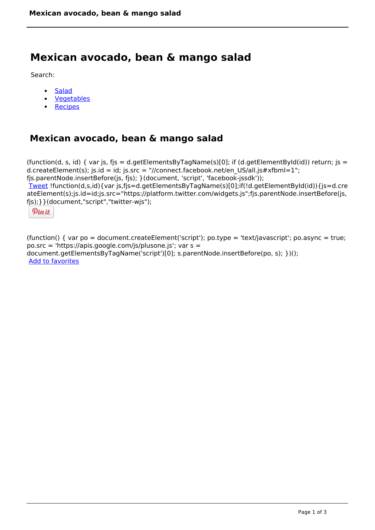## **Mexican avocado, bean & mango salad**

Search:

- **[Salad](https://www.naturalhealthmag.com.au/nourish/salads)**  $\bullet$
- [Vegetables](https://www.naturalhealthmag.com.au/nourish/veg)  $\bullet$
- **[Recipes](https://www.naturalhealthmag.com.au/nourish/recipes)**

## **Mexican avocado, bean & mango salad**

```
(function(d, s, id) { var js, fjs = d.getElementsByTagName(s)[0]; if (d.getElementById(id)) return; is =
d.createElement(s); js.id = id; js.src = "//connect.facebook.net/en_US/all.js#xfbml=1";
fjs.parentNode.insertBefore(js, fjs); }(document, 'script', 'facebook-jssdk')); 
Tweet !function(d,s,id){var js,fjs=d.getElementsByTagName(s)[0];if(!d.getElementById(id)){js=d.cre
ateElement(s);js.id=id;js.src="https://platform.twitter.com/widgets.js";fjs.parentNode.insertBefore(js,
fjs);}}(document,"script","twitter-wjs"); 
 Pin it
```
(function() { var po = document.createElement('script'); po.type = 'text/javascript'; po.async = true; po.src = 'https://apis.google.com/js/plusone.js'; var s = document.getElementsByTagName('script')[0]; s.parentNode.insertBefore(po, s); })(); Add to favorites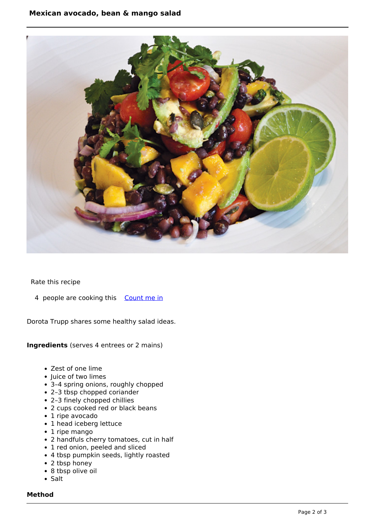

Rate this recipe

4 people are cooking this [Count me in](https://www.naturalhealthmag.com.au/flag/flag/favorites/713?destination=printpdf%2F713&token=82237688fb68fa2e766717632e8c1635)

Dorota Trupp shares some healthy salad ideas.

**Ingredients** (serves 4 entrees or 2 mains)

- Zest of one lime
- Juice of two limes
- 3–4 spring onions, roughly chopped
- 2–3 tbsp chopped coriander
- 2–3 finely chopped chillies
- 2 cups cooked red or black beans
- 1 ripe avocado
- 1 head iceberg lettuce
- 1 ripe mango
- 2 handfuls cherry tomatoes, cut in half
- 1 red onion, peeled and sliced
- 4 tbsp pumpkin seeds, lightly roasted
- 2 tbsp honey
- 8 tbsp olive oil
- $\bullet$  Salt

## **Method**